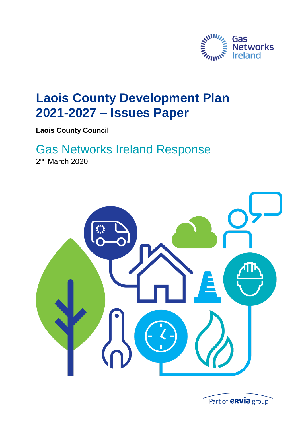

## **Laois County Development Plan 2021-2027 – Issues Paper**

**Laois County Council**

# Gas Networks Ireland Response

2<sup>nd</sup> March 2020



Part of **envia** group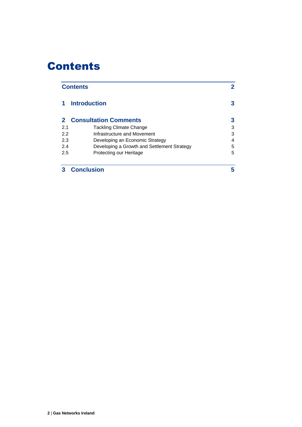## Contents

| <b>Contents</b>   |                                                       |   |
|-------------------|-------------------------------------------------------|---|
|                   | <b>Introduction</b><br><b>2</b> Consultation Comments |   |
|                   |                                                       |   |
| 2.1               | <b>Tackling Climate Change</b>                        | 3 |
| 2.2               | Infrastructure and Movement                           | 3 |
| 2.3               | Developing an Economic Strategy                       | 4 |
| 2.4               | Developing a Growth and Settlement Strategy           | 5 |
| 2.5               | Protecting our Heritage                               | 5 |
| <b>Conclusion</b> |                                                       | 5 |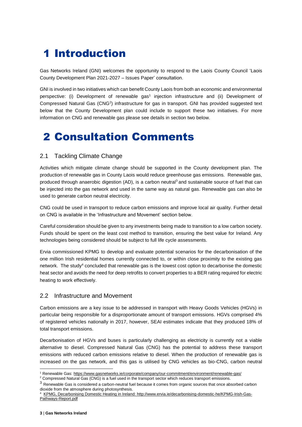## 1 Introduction

Gas Networks Ireland (GNI) welcomes the opportunity to respond to the Laois County Council 'Laois County Development Plan 2021-2027 – Issues Paper' consultation.

GNI is involved in two initiatives which can benefit County Laois from both an economic and environmental perspective: (i) Development of renewable gas<sup>1</sup> injection infrastructure and (ii) Development of Compressed Natural Gas (CNG<sup>2</sup>) infrastructure for gas in transport. GNI has provided suggested text below that the County Development plan could include to support these two initiatives. For more information on CNG and renewable gas please see details in section two below.

### 2 Consultation Comments

#### 2.1 Tackling Climate Change

Activities which mitigate climate change should be supported in the County development plan. The production of renewable gas in County Laois would reduce greenhouse gas emissions. Renewable gas, produced through anaerobic digestion (AD), is a carbon neutral<sup>3</sup> and sustainable source of fuel that can be injected into the gas network and used in the same way as natural gas. Renewable gas can also be used to generate carbon neutral electricity.

CNG could be used in transport to reduce carbon emissions and improve local air quality. Further detail on CNG is available in the 'Infrastructure and Movement' section below.

Careful consideration should be given to any investments being made to transition to a low carbon society. Funds should be spent on the least cost method to transition, ensuring the best value for Ireland. Any technologies being considered should be subject to full life cycle assessments.

Ervia commissioned KPMG to develop and evaluate potential scenarios for the decarbonisation of the one million Irish residential homes currently connected to, or within close proximity to the existing gas network. The study<sup>4</sup> concluded that renewable gas is the lowest cost option to decarbonise the domestic heat sector and avoids the need for deep retrofits to convert properties to a BER rating required for electric heating to work effectively.

#### 2.2 Infrastructure and Movement

Carbon emissions are a key issue to be addressed in transport with Heavy Goods Vehicles (HGVs) in particular being responsible for a disproportionate amount of transport emissions. HGVs comprised 4% of registered vehicles nationally in 2017, however, SEAI estimates indicate that they produced 18% of total transport emissions.

Decarbonisation of HGVs and buses is particularly challenging as electricity is currently not a viable alternative to diesel. Compressed Natural Gas (CNG) has the potential to address these transport emissions with reduced carbon emissions relative to diesel. When the production of renewable gas is increased on the gas network, and this gas is utilised by CNG vehicles as bio-CNG, carbon neutral

<sup>1</sup> Renewable Gas:<https://www.gasnetworks.ie/corporate/company/our-commitment/environment/renewable-gas/>

<sup>&</sup>lt;sup>2</sup> Compressed Natural Gas (CNG) is a fuel used in the transport sector which reduces transport emissions.

 $3$  Renewable Gas is considered a carbon-neutral fuel because it comes from organic sources that once absorbed carbon dioxide from the atmosphere during photosynthesis.

<sup>4</sup> [KPMG, Decarbonising Domestic Heating in Ireland: http://www.ervia.ie/decarbonising-domestic-he/KPMG-Irish-Gas-](file:///C:/Users/acolbert/AppData/Local/Microsoft/Windows/Temporary%20Internet%20Files/Content.Outlook/KKFMHILO/KPMG,%20Decarbonising%20Domestic%20Heating%20in%20Ireland:%20http:/www.ervia.ie/decarbonising-domestic-he/KPMG-Irish-Gas-Pathways-Report.pdf)[Pathways-Report.pdf](file:///C:/Users/acolbert/AppData/Local/Microsoft/Windows/Temporary%20Internet%20Files/Content.Outlook/KKFMHILO/KPMG,%20Decarbonising%20Domestic%20Heating%20in%20Ireland:%20http:/www.ervia.ie/decarbonising-domestic-he/KPMG-Irish-Gas-Pathways-Report.pdf)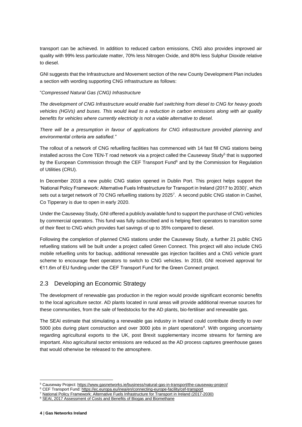transport can be achieved. In addition to reduced carbon emissions, CNG also provides improved air quality with 99% less particulate matter, 70% less Nitrogen Oxide, and 80% less Sulphur Dioxide relative to diesel.

GNI suggests that the Infrastructure and Movement section of the new County Development Plan includes a section with wording supporting CNG infrastructure as follows:

#### "*Compressed Natural Gas (CNG) Infrastructure*

*The development of CNG Infrastructure would enable fuel switching from diesel to CNG for heavy goods vehicles (HGVs) and buses. This would lead to a reduction in carbon emissions along with air quality benefits for vehicles where currently electricity is not a viable alternative to diesel.*

There will be a presumption in favour of applications for CNG infrastructure provided planning and *environmental criteria are satisfied."*

The rollout of a network of CNG refuelling facilities has commenced with 14 fast fill CNG stations being installed across the Core TEN-T road network via a project called the Causeway Study<sup>5</sup> that is supported by the European Commission through the CEF Transport Fund<sup>6</sup> and by the Commission for Regulation of Utilities (CRU).

In December 2018 a new public CNG station opened in Dublin Port. This project helps support the 'National Policy Framework: Alternative Fuels Infrastructure for Transport in Ireland (2017 to 2030)', which sets out a target network of 70 CNG refuelling stations by 2025<sup>7</sup>. A second public CNG station in Cashel, Co Tipperary is due to open in early 2020.

Under the Causeway Study, GNI offered a publicly available fund to support the purchase of CNG vehicles by commercial operators. This fund was fully subscribed and is helping fleet operators to transition some of their fleet to CNG which provides fuel savings of up to 35% compared to diesel.

Following the completion of planned CNG stations under the Causeway Study, a further 21 public CNG refuelling stations will be built under a project called Green Connect. This project will also include CNG mobile refuelling units for backup, additional renewable gas injection facilities and a CNG vehicle grant scheme to encourage fleet operators to switch to CNG vehicles. In 2018, GNI received approval for €11.6m of EU funding under the CEF Transport Fund for the Green Connect project.

#### 2.3 Developing an Economic Strategy

The development of renewable gas production in the region would provide significant economic benefits to the local agriculture sector. AD plants located in rural areas will provide additional revenue sources for these communities, from the sale of feedstocks for the AD plants, bio-fertiliser and renewable gas.

The SEAI estimate that stimulating a renewable gas industry in Ireland could contribute directly to over 5000 jobs during plant construction and over 3000 jobs in plant operations<sup>8</sup>. With ongoing uncertainty regarding agricultural exports to the UK, post Brexit supplementary income streams for farming are important. Also agricultural sector emissions are reduced as the AD process captures greenhouse gases that would otherwise be released to the atmosphere.

<sup>5</sup> Causeway Project[: https://www.gasnetworks.ie/business/natural-gas-in-transport/the-causeway-project/](https://www.gasnetworks.ie/business/natural-gas-in-transport/the-causeway-project/)

<sup>6</sup> CEF Transport Fund:<https://ec.europa.eu/inea/en/connecting-europe-facility/cef-transport>

<sup>7</sup> [National Policy Framework: Alternative Fuels Infrastructure for Transport in Ireland \(2017-2030\)](http://www.dttas.ie/sites/default/files/publications/public-transport/english/alternative-fuels-framework/6186npfalternative-fuels300517.pdf)

<sup>&</sup>lt;sup>8</sup> [SEAI, 2017 Assessment of Costs and Benefits of Biogas and Biomethane](https://www.seai.ie/resources/publications/Assessment-of-Cost-and-Benefits-of-Biogas-and-Biomethane-in-Ireland.pdf)